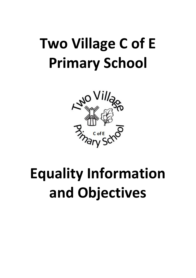

# **Equality Information and Objectives**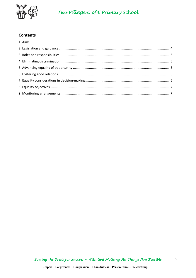

## **Contents**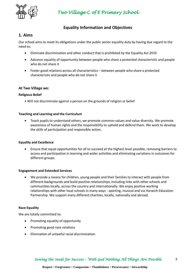

## **Equality Information and Objectives**

### **1. Aims**

Our school aims to meet its obligations under the public sector equality duty by having due regard to the need to:

- Eliminate discrimination and other conduct that is prohibited by the Equality Act 2010
- Advance equality of opportunity between people who share a protected characteristic and people who do not share it
- Foster good relations across all characteristics between people who share a protected characteristic and people who do not share it

#### **At Two Village we:**

#### **Religious Belief**

• Will not discriminate against a person on the grounds of religion or belief

#### **Teaching and Learning and the Curriculum**

• Teach pupils to understand others, we promote common values and value diversity. We promote awareness of human rights and the responsibility to uphold and defend them. We work to develop the skills of participation and responsible action.

#### **Equality and Excellence**

• Ensure that equal opportunities for all to succeed at the highest level possible, removing barriers to access and participation in learning and wider activities and eliminating variations in outcomes for different groups.

#### **Engagement and Extended Services**

• We provide a means for children, young people and their families to interact with people from different backgrounds and build positive relationships, including links with other schools and communities locally, across the country and internationally. We enjoy positive working relationships with other local schools in many ways - sporting, musical and via Harwich Education Partnership. We support many different charities, locally, nationally and abroad.

#### **Race Equality**

We are totally committed to:

- Promoting equality of opportunity
- Promoting good race relations
- Elimination of unlawful racial discrimination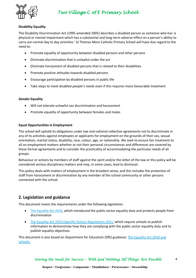

#### **Disability Equality**

The Disability Discrimination Act (1995-amended 2005) describes a disabled person as someone who has 'a physical or mental impairment which has a substantial and long-term adverse effect on a person's ability to carry out normal day to day activities.' St Thomas More Catholic Primary School will have due regard to the need to:

- Promote equality of opportunity between disabled persons and other persons
- Eliminate discrimination that is unlawful under the act
- Eliminate harassment of disabled persons that is related to their disabilities
- Promote positive attitudes towards disabled persons
- Encourage participation by disabled persons in public life
- Take steps to meet disabled people's needs even if this requires more favourable treatment

#### **Gender Equality**

- Will not tolerate unlawful sex discrimination and harassment
- Promote equality of opportunity between females and males

#### **Equal Opportunities in Employment**

The school will uphold its obligations under law and national collective agreements not to discriminate in any of its activities against employees or applicants for employment on the grounds of their sex, sexual orientation, marital status, disability, race, colour, age, or nationality. We seek to ensure fair treatment to all on employment matters whether or not their personal circumstances and differences are covered by these formal agreements and to consider the practicality of accommodating the particular needs of all groups.

Behaviour or actions by members of staff against the spirit and/or the letter of the law or this policy will be considered serious disciplinary matters and may, in some cases, lead to dismissal.

This policy deals with matters of employment in the broadest sense, and this includes the protection of staff from harassment or discrimination by any member of the school community or other persons connected with the school.

## **2. Legislation and guidance**

This document meets the requirements under the following legislation:

- [The Equality Act 2010,](http://www.legislation.gov.uk/ukpga/2010/15/contents) which introduced the public sector equality duty and protects people from discrimination
- [The Equality Act 2010 \(Specific Duties\) Regulations 2011,](http://www.legislation.gov.uk/uksi/2011/2260/contents/made) which require schools to publish information to demonstrate how they are complying with the public sector equality duty and to publish equality objectives

This document is also based on Department for Education (DfE) guidance: [The Equality Act 2010 and](https://www.gov.uk/government/uploads/system/uploads/attachment_data/file/315587/Equality_Act_Advice_Final.pdf)  [schools.](https://www.gov.uk/government/uploads/system/uploads/attachment_data/file/315587/Equality_Act_Advice_Final.pdf)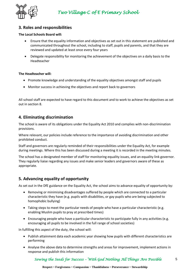## **3. Roles and responsibilities**

#### **The Local Schools Board will:**

- Ensure that the equality information and objectives as set out in this statement are published and communicated throughout the school, including to staff, pupils and parents, and that they are reviewed and updated at least once every four years
- Delegate responsibility for monitoring the achievement of the objectives on a daily basis to the Headteacher

#### **The Headteacher will:**

- Promote knowledge and understanding of the equality objectives amongst staff and pupils
- Monitor success in achieving the objectives and report back to governors

All school staff are expected to have regard to this document and to work to achieve the objectives as set out in section 8.

## **4. Eliminating discrimination**

The school is aware of its obligations under the Equality Act 2010 and complies with non-discrimination provisions.

Where relevant, our policies include reference to the importance of avoiding discrimination and other prohibited conduct.

Staff and governors are regularly reminded of their responsibilities under the Equality Act, for example during meetings. Where this has been discussed during a meeting it is recorded in the meeting minutes.

The school has a designated member of staff for monitoring equality issues, and an equality link governor. They regularly liaise regarding any issues and make senior leaders and governors aware of these as appropriate.

## **5. Advancing equality of opportunity**

As set out in the DfE guidance on the Equality Act, the school aims to advance equality of opportunity by:

- Removing or minimising disadvantages suffered by people which are connected to a particular characteristic they have (e.g. pupils with disabilities, or gay pupils who are being subjected to homophobic bullying)
- Taking steps to meet the particular needs of people who have a particular characteristic (e.g. enabling Muslim pupils to pray at prescribed times)
- Encouraging people who have a particular characteristic to participate fully in any activities (e.g. encouraging all pupils to be involved in the full range of school societies)

In fulfilling this aspect of the duty, the school will:

- Publish attainment data each academic year showing how pupils with different characteristics are performing
- Analyse the above data to determine strengths and areas for improvement, implement actions in response and publish this information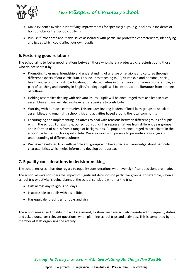

- Make evidence available identifying improvements for specific groups (e.g. declines in incidents of homophobic or transphobic bullying)
- Publish further data about any issues associated with particular protected characteristics, identifying any issues which could affect our own pupils

## **6. Fostering good relations**

The school aims to foster good relations between those who share a protected characteristic and those who do not share it by:

- Promoting tolerance, friendship and understanding of a range of religions and cultures through different aspects of our curriculum. This includes teaching in RE, citizenship and personal, social, health and economic (PSHE) education, but also activities in other curriculum areas. For example, as part of teaching and learning in English/reading, pupils will be introduced to literature from a range of cultures
- Holding assemblies dealing with relevant issues. Pupils will be encouraged to take a lead in such assemblies and we will also invite external speakers to contribute
- Working with our local community. This includes inviting leaders of local faith groups to speak at assemblies, and organising school trips and activities based around the local community
- Encouraging and implementing initiatives to deal with tensions between different groups of pupils within the school. For example, our school council has representatives from different year groups and is formed of pupils from a range of backgrounds. All pupils are encouraged to participate in the school's activities, such as sports clubs. We also work with parents to promote knowledge and understanding of different cultures
- We have developed links with people and groups who have specialist knowledge about particular characteristics, which helps inform and develop our approach

## **7. Equality considerations in decision-making**

The school ensures it has due regard to equality considerations whenever significant decisions are made.

The school always considers the impact of significant decisions on particular groups. For example, when a school trip or activity is being planned, the school considers whether the trip:

- Cuts across any religious holidays
- Is accessible to pupils with disabilities
- Has equivalent facilities for boys and girls

The school makes an Equality Impact Assessment, to show we have actively considered our equality duties and asked ourselves relevant questions, when planning school trips and activities. This is completed by the member of staff organising the activity.